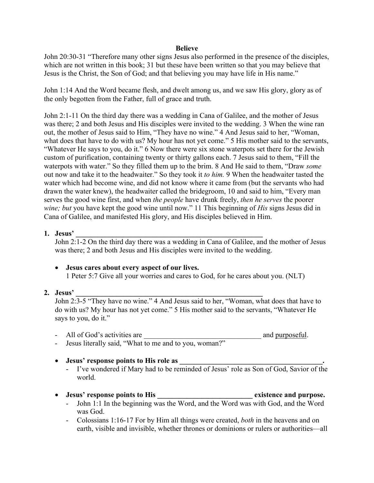### **Believe**

John 20:30-31 "Therefore many other signs Jesus also performed in the presence of the disciples, which are not written in this book; 31 but these have been written so that you may believe that Jesus is the Christ, the Son of God; and that believing you may have life in His name."

John 1:14 And the Word became flesh, and dwelt among us, and we saw His glory, glory as of the only begotten from the Father, full of grace and truth.

John 2:1-11 On the third day there was a wedding in Cana of Galilee, and the mother of Jesus was there; 2 and both Jesus and His disciples were invited to the wedding. 3 When the wine ran out, the mother of Jesus said to Him, "They have no wine." 4 And Jesus said to her, "Woman, what does that have to do with us? My hour has not yet come." 5 His mother said to the servants, "Whatever He says to you, do it." 6 Now there were six stone waterpots set there for the Jewish custom of purification, containing twenty or thirty gallons each. 7 Jesus said to them, "Fill the waterpots with water." So they filled them up to the brim. 8 And He said to them, "Draw *some* out now and take it to the headwaiter." So they took it *to him.* 9 When the headwaiter tasted the water which had become wine, and did not know where it came from (but the servants who had drawn the water knew), the headwaiter called the bridegroom, 10 and said to him, "Every man serves the good wine first, and when *the people* have drunk freely, *then he serves* the poorer *wine; but* you have kept the good wine until now." 11 This beginning of *His* signs Jesus did in Cana of Galilee, and manifested His glory, and His disciples believed in Him.

### **1. Jesus' \_\_\_\_\_\_\_\_\_\_\_\_\_\_\_\_\_\_\_\_\_\_\_\_\_\_\_\_\_\_\_\_\_\_\_\_\_\_\_\_\_\_\_\_\_\_\_\_\_\_\_**

John 2:1-2 On the third day there was a wedding in Cana of Galilee, and the mother of Jesus was there; 2 and both Jesus and His disciples were invited to the wedding.

### • **Jesus cares about every aspect of our lives.**

1 Peter 5:7 Give all your worries and cares to God, for he cares about you. (NLT)

### **2. Jesus' \_\_\_\_\_\_\_\_\_\_\_\_\_\_\_\_\_\_\_\_\_\_\_\_\_\_\_\_\_\_\_\_\_\_\_\_\_\_\_\_\_\_\_\_\_\_\_\_\_\_\_**

John 2:3-5 "They have no wine." 4 And Jesus said to her, "Woman, what does that have to do with us? My hour has not yet come." 5 His mother said to the servants, "Whatever He says to you, do it."

- All of God's activities are  $\blacksquare$
- Jesus literally said, "What to me and to you, woman?"

### • Jesus' response points to His role as

- I've wondered if Mary had to be reminded of Jesus' role as Son of God, Savior of the world.

# • **Jesus' response points to His \_\_\_\_\_\_\_\_\_\_\_\_\_\_\_\_\_\_\_\_\_\_\_\_\_\_ existence and purpose.**

- John 1:1 In the beginning was the Word, and the Word was with God, and the Word was God.
- Colossians 1:16-17 For by Him all things were created, *both* in the heavens and on earth, visible and invisible, whether thrones or dominions or rulers or authorities—all